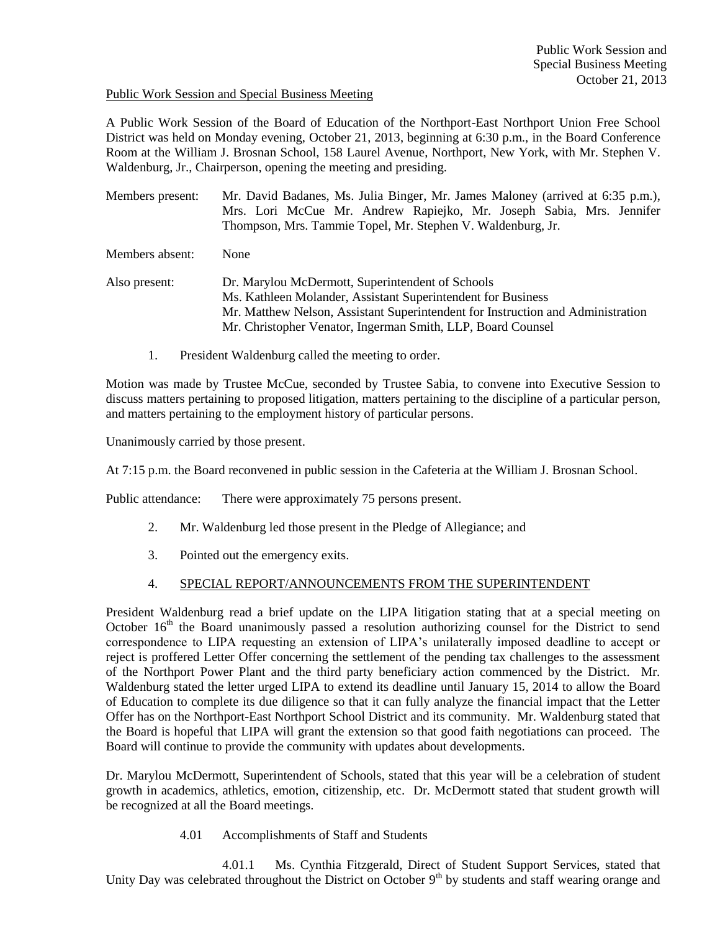## Public Work Session and Special Business Meeting

A Public Work Session of the Board of Education of the Northport-East Northport Union Free School District was held on Monday evening, October 21, 2013, beginning at 6:30 p.m., in the Board Conference Room at the William J. Brosnan School, 158 Laurel Avenue, Northport, New York, with Mr. Stephen V. Waldenburg, Jr., Chairperson, opening the meeting and presiding.

Members present: Mr. David Badanes, Ms. Julia Binger, Mr. James Maloney (arrived at 6:35 p.m.), Mrs. Lori McCue Mr. Andrew Rapiejko, Mr. Joseph Sabia, Mrs. Jennifer Thompson, Mrs. Tammie Topel, Mr. Stephen V. Waldenburg, Jr.

Members absent: None

- Also present: Dr. Marylou McDermott, Superintendent of Schools Ms. Kathleen Molander, Assistant Superintendent for Business Mr. Matthew Nelson, Assistant Superintendent for Instruction and Administration Mr. Christopher Venator, Ingerman Smith, LLP, Board Counsel
	- 1. President Waldenburg called the meeting to order.

Motion was made by Trustee McCue, seconded by Trustee Sabia, to convene into Executive Session to discuss matters pertaining to proposed litigation, matters pertaining to the discipline of a particular person, and matters pertaining to the employment history of particular persons.

Unanimously carried by those present.

At 7:15 p.m. the Board reconvened in public session in the Cafeteria at the William J. Brosnan School.

Public attendance: There were approximately 75 persons present.

- 2. Mr. Waldenburg led those present in the Pledge of Allegiance; and
- 3. Pointed out the emergency exits.

# 4. SPECIAL REPORT/ANNOUNCEMENTS FROM THE SUPERINTENDENT

President Waldenburg read a brief update on the LIPA litigation stating that at a special meeting on October  $16<sup>th</sup>$  the Board unanimously passed a resolution authorizing counsel for the District to send correspondence to LIPA requesting an extension of LIPA's unilaterally imposed deadline to accept or reject is proffered Letter Offer concerning the settlement of the pending tax challenges to the assessment of the Northport Power Plant and the third party beneficiary action commenced by the District. Mr. Waldenburg stated the letter urged LIPA to extend its deadline until January 15, 2014 to allow the Board of Education to complete its due diligence so that it can fully analyze the financial impact that the Letter Offer has on the Northport-East Northport School District and its community. Mr. Waldenburg stated that the Board is hopeful that LIPA will grant the extension so that good faith negotiations can proceed. The Board will continue to provide the community with updates about developments.

Dr. Marylou McDermott, Superintendent of Schools, stated that this year will be a celebration of student growth in academics, athletics, emotion, citizenship, etc. Dr. McDermott stated that student growth will be recognized at all the Board meetings.

4.01 Accomplishments of Staff and Students

4.01.1 Ms. Cynthia Fitzgerald, Direct of Student Support Services, stated that Unity Day was celebrated throughout the District on October  $9<sup>th</sup>$  by students and staff wearing orange and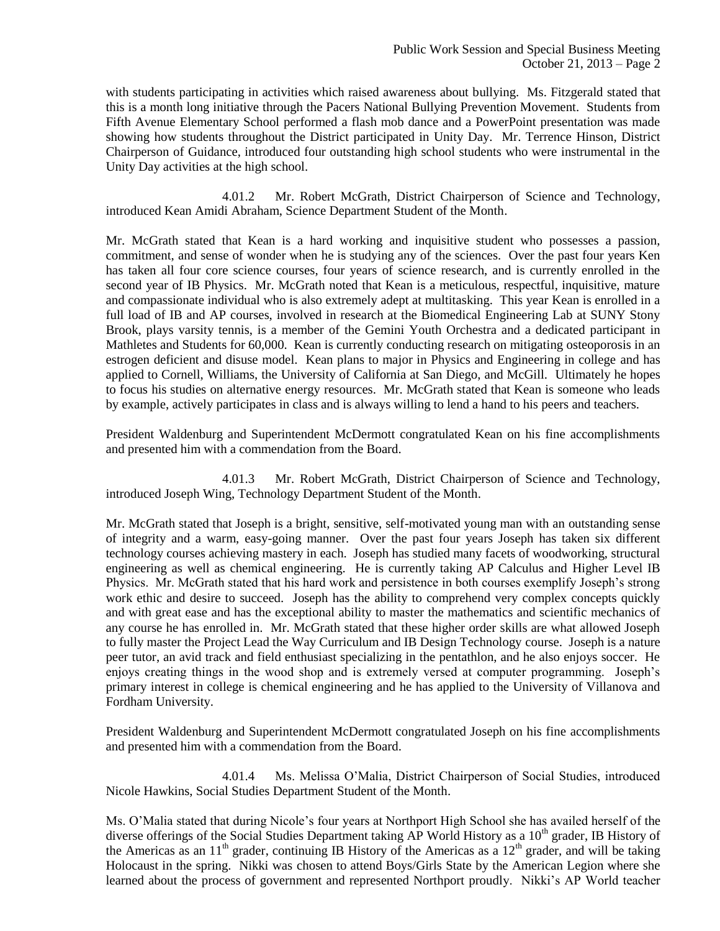with students participating in activities which raised awareness about bullying. Ms. Fitzgerald stated that this is a month long initiative through the Pacers National Bullying Prevention Movement. Students from Fifth Avenue Elementary School performed a flash mob dance and a PowerPoint presentation was made showing how students throughout the District participated in Unity Day. Mr. Terrence Hinson, District Chairperson of Guidance, introduced four outstanding high school students who were instrumental in the Unity Day activities at the high school.

4.01.2 Mr. Robert McGrath, District Chairperson of Science and Technology, introduced Kean Amidi Abraham, Science Department Student of the Month.

Mr. McGrath stated that Kean is a hard working and inquisitive student who possesses a passion, commitment, and sense of wonder when he is studying any of the sciences. Over the past four years Ken has taken all four core science courses, four years of science research, and is currently enrolled in the second year of IB Physics. Mr. McGrath noted that Kean is a meticulous, respectful, inquisitive, mature and compassionate individual who is also extremely adept at multitasking. This year Kean is enrolled in a full load of IB and AP courses, involved in research at the Biomedical Engineering Lab at SUNY Stony Brook, plays varsity tennis, is a member of the Gemini Youth Orchestra and a dedicated participant in Mathletes and Students for 60,000. Kean is currently conducting research on mitigating osteoporosis in an estrogen deficient and disuse model. Kean plans to major in Physics and Engineering in college and has applied to Cornell, Williams, the University of California at San Diego, and McGill. Ultimately he hopes to focus his studies on alternative energy resources. Mr. McGrath stated that Kean is someone who leads by example, actively participates in class and is always willing to lend a hand to his peers and teachers.

President Waldenburg and Superintendent McDermott congratulated Kean on his fine accomplishments and presented him with a commendation from the Board.

4.01.3 Mr. Robert McGrath, District Chairperson of Science and Technology, introduced Joseph Wing, Technology Department Student of the Month.

Mr. McGrath stated that Joseph is a bright, sensitive, self-motivated young man with an outstanding sense of integrity and a warm, easy-going manner. Over the past four years Joseph has taken six different technology courses achieving mastery in each. Joseph has studied many facets of woodworking, structural engineering as well as chemical engineering. He is currently taking AP Calculus and Higher Level IB Physics. Mr. McGrath stated that his hard work and persistence in both courses exemplify Joseph's strong work ethic and desire to succeed. Joseph has the ability to comprehend very complex concepts quickly and with great ease and has the exceptional ability to master the mathematics and scientific mechanics of any course he has enrolled in. Mr. McGrath stated that these higher order skills are what allowed Joseph to fully master the Project Lead the Way Curriculum and IB Design Technology course. Joseph is a nature peer tutor, an avid track and field enthusiast specializing in the pentathlon, and he also enjoys soccer. He enjoys creating things in the wood shop and is extremely versed at computer programming. Joseph's primary interest in college is chemical engineering and he has applied to the University of Villanova and Fordham University.

President Waldenburg and Superintendent McDermott congratulated Joseph on his fine accomplishments and presented him with a commendation from the Board.

4.01.4 Ms. Melissa O'Malia, District Chairperson of Social Studies, introduced Nicole Hawkins, Social Studies Department Student of the Month.

Ms. O'Malia stated that during Nicole's four years at Northport High School she has availed herself of the diverse offerings of the Social Studies Department taking AP World History as a 10<sup>th</sup> grader, IB History of the Americas as an  $11<sup>th</sup>$  grader, continuing IB History of the Americas as a  $12<sup>th</sup>$  grader, and will be taking Holocaust in the spring. Nikki was chosen to attend Boys/Girls State by the American Legion where she learned about the process of government and represented Northport proudly. Nikki's AP World teacher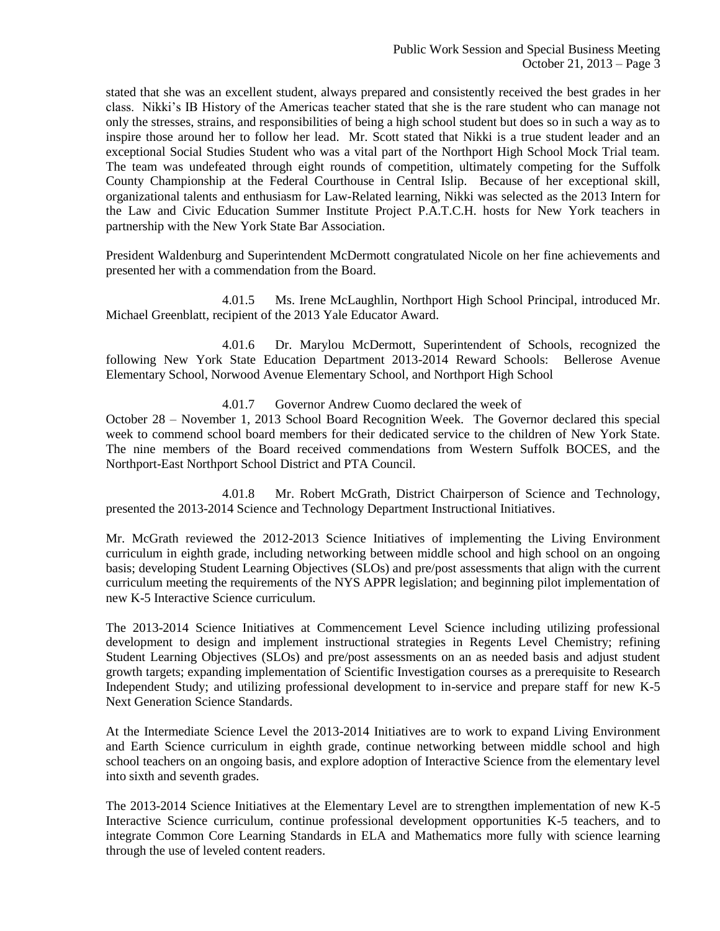stated that she was an excellent student, always prepared and consistently received the best grades in her class. Nikki's IB History of the Americas teacher stated that she is the rare student who can manage not only the stresses, strains, and responsibilities of being a high school student but does so in such a way as to inspire those around her to follow her lead. Mr. Scott stated that Nikki is a true student leader and an exceptional Social Studies Student who was a vital part of the Northport High School Mock Trial team. The team was undefeated through eight rounds of competition, ultimately competing for the Suffolk County Championship at the Federal Courthouse in Central Islip. Because of her exceptional skill, organizational talents and enthusiasm for Law-Related learning, Nikki was selected as the 2013 Intern for the Law and Civic Education Summer Institute Project P.A.T.C.H. hosts for New York teachers in partnership with the New York State Bar Association.

President Waldenburg and Superintendent McDermott congratulated Nicole on her fine achievements and presented her with a commendation from the Board.

4.01.5 Ms. Irene McLaughlin, Northport High School Principal, introduced Mr. Michael Greenblatt, recipient of the 2013 Yale Educator Award.

4.01.6 Dr. Marylou McDermott, Superintendent of Schools, recognized the following New York State Education Department 2013-2014 Reward Schools: Bellerose Avenue Elementary School, Norwood Avenue Elementary School, and Northport High School

4.01.7 Governor Andrew Cuomo declared the week of

October 28 – November 1, 2013 School Board Recognition Week. The Governor declared this special week to commend school board members for their dedicated service to the children of New York State. The nine members of the Board received commendations from Western Suffolk BOCES, and the Northport-East Northport School District and PTA Council.

4.01.8 Mr. Robert McGrath, District Chairperson of Science and Technology, presented the 2013-2014 Science and Technology Department Instructional Initiatives.

Mr. McGrath reviewed the 2012-2013 Science Initiatives of implementing the Living Environment curriculum in eighth grade, including networking between middle school and high school on an ongoing basis; developing Student Learning Objectives (SLOs) and pre/post assessments that align with the current curriculum meeting the requirements of the NYS APPR legislation; and beginning pilot implementation of new K-5 Interactive Science curriculum.

The 2013-2014 Science Initiatives at Commencement Level Science including utilizing professional development to design and implement instructional strategies in Regents Level Chemistry; refining Student Learning Objectives (SLOs) and pre/post assessments on an as needed basis and adjust student growth targets; expanding implementation of Scientific Investigation courses as a prerequisite to Research Independent Study; and utilizing professional development to in-service and prepare staff for new K-5 Next Generation Science Standards.

At the Intermediate Science Level the 2013-2014 Initiatives are to work to expand Living Environment and Earth Science curriculum in eighth grade, continue networking between middle school and high school teachers on an ongoing basis, and explore adoption of Interactive Science from the elementary level into sixth and seventh grades.

The 2013-2014 Science Initiatives at the Elementary Level are to strengthen implementation of new K-5 Interactive Science curriculum, continue professional development opportunities K-5 teachers, and to integrate Common Core Learning Standards in ELA and Mathematics more fully with science learning through the use of leveled content readers.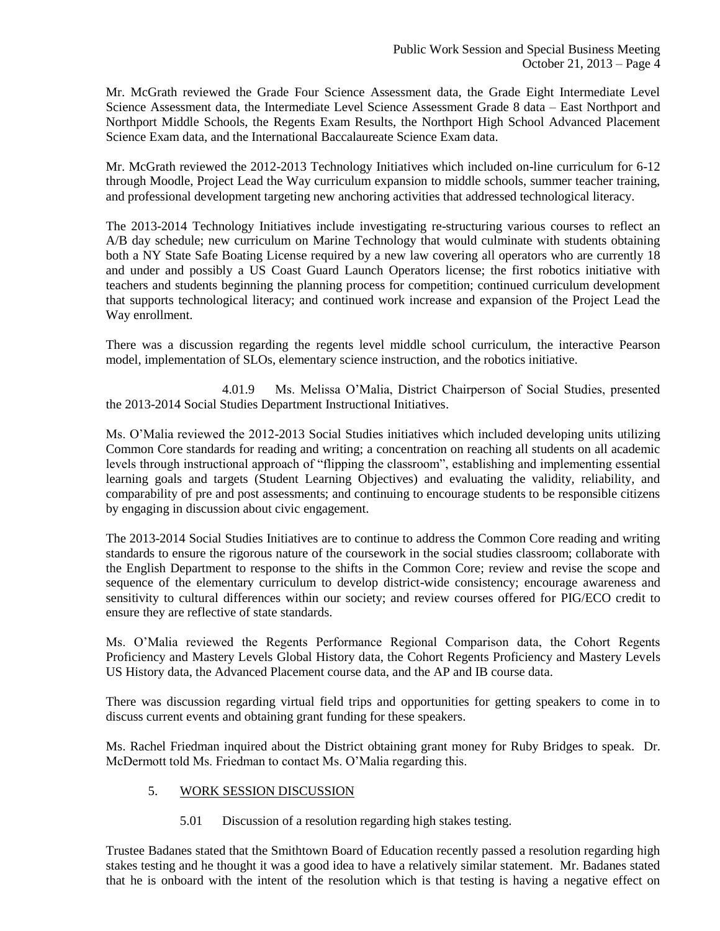Mr. McGrath reviewed the Grade Four Science Assessment data, the Grade Eight Intermediate Level Science Assessment data, the Intermediate Level Science Assessment Grade 8 data – East Northport and Northport Middle Schools, the Regents Exam Results, the Northport High School Advanced Placement Science Exam data, and the International Baccalaureate Science Exam data.

Mr. McGrath reviewed the 2012-2013 Technology Initiatives which included on-line curriculum for 6-12 through Moodle, Project Lead the Way curriculum expansion to middle schools, summer teacher training, and professional development targeting new anchoring activities that addressed technological literacy.

The 2013-2014 Technology Initiatives include investigating re-structuring various courses to reflect an A/B day schedule; new curriculum on Marine Technology that would culminate with students obtaining both a NY State Safe Boating License required by a new law covering all operators who are currently 18 and under and possibly a US Coast Guard Launch Operators license; the first robotics initiative with teachers and students beginning the planning process for competition; continued curriculum development that supports technological literacy; and continued work increase and expansion of the Project Lead the Way enrollment.

There was a discussion regarding the regents level middle school curriculum, the interactive Pearson model, implementation of SLOs, elementary science instruction, and the robotics initiative.

4.01.9 Ms. Melissa O'Malia, District Chairperson of Social Studies, presented the 2013-2014 Social Studies Department Instructional Initiatives.

Ms. O'Malia reviewed the 2012-2013 Social Studies initiatives which included developing units utilizing Common Core standards for reading and writing; a concentration on reaching all students on all academic levels through instructional approach of "flipping the classroom", establishing and implementing essential learning goals and targets (Student Learning Objectives) and evaluating the validity, reliability, and comparability of pre and post assessments; and continuing to encourage students to be responsible citizens by engaging in discussion about civic engagement.

The 2013-2014 Social Studies Initiatives are to continue to address the Common Core reading and writing standards to ensure the rigorous nature of the coursework in the social studies classroom; collaborate with the English Department to response to the shifts in the Common Core; review and revise the scope and sequence of the elementary curriculum to develop district-wide consistency; encourage awareness and sensitivity to cultural differences within our society; and review courses offered for PIG/ECO credit to ensure they are reflective of state standards.

Ms. O'Malia reviewed the Regents Performance Regional Comparison data, the Cohort Regents Proficiency and Mastery Levels Global History data, the Cohort Regents Proficiency and Mastery Levels US History data, the Advanced Placement course data, and the AP and IB course data.

There was discussion regarding virtual field trips and opportunities for getting speakers to come in to discuss current events and obtaining grant funding for these speakers.

Ms. Rachel Friedman inquired about the District obtaining grant money for Ruby Bridges to speak. Dr. McDermott told Ms. Friedman to contact Ms. O'Malia regarding this.

## 5. WORK SESSION DISCUSSION

5.01 Discussion of a resolution regarding high stakes testing.

Trustee Badanes stated that the Smithtown Board of Education recently passed a resolution regarding high stakes testing and he thought it was a good idea to have a relatively similar statement. Mr. Badanes stated that he is onboard with the intent of the resolution which is that testing is having a negative effect on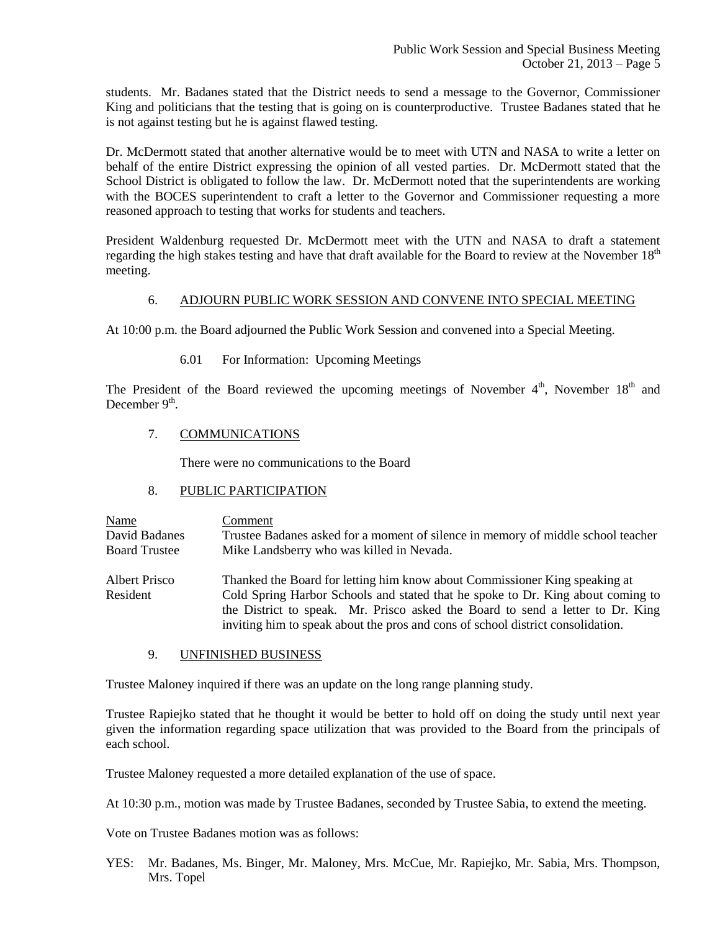students. Mr. Badanes stated that the District needs to send a message to the Governor, Commissioner King and politicians that the testing that is going on is counterproductive. Trustee Badanes stated that he is not against testing but he is against flawed testing.

Dr. McDermott stated that another alternative would be to meet with UTN and NASA to write a letter on behalf of the entire District expressing the opinion of all vested parties. Dr. McDermott stated that the School District is obligated to follow the law. Dr. McDermott noted that the superintendents are working with the BOCES superintendent to craft a letter to the Governor and Commissioner requesting a more reasoned approach to testing that works for students and teachers.

President Waldenburg requested Dr. McDermott meet with the UTN and NASA to draft a statement regarding the high stakes testing and have that draft available for the Board to review at the November  $18<sup>th</sup>$ meeting.

## 6. ADJOURN PUBLIC WORK SESSION AND CONVENE INTO SPECIAL MEETING

At 10:00 p.m. the Board adjourned the Public Work Session and convened into a Special Meeting.

6.01 For Information: Upcoming Meetings

The President of the Board reviewed the upcoming meetings of November  $4<sup>th</sup>$ , November  $18<sup>th</sup>$  and December 9<sup>th</sup>.

# 7. COMMUNICATIONS

There were no communications to the Board

## 8. PUBLIC PARTICIPATION

Name Comment David Badanes Trustee Badanes asked for a moment of silence in memory of middle school teacher Board Trustee Mike Landsberry who was killed in Nevada.

Albert Prisco Thanked the Board for letting him know about Commissioner King speaking at Resident Cold Spring Harbor Schools and stated that he spoke to Dr. King about coming to the District to speak. Mr. Prisco asked the Board to send a letter to Dr. King inviting him to speak about the pros and cons of school district consolidation.

9. UNFINISHED BUSINESS

Trustee Maloney inquired if there was an update on the long range planning study.

Trustee Rapiejko stated that he thought it would be better to hold off on doing the study until next year given the information regarding space utilization that was provided to the Board from the principals of each school.

Trustee Maloney requested a more detailed explanation of the use of space.

At 10:30 p.m., motion was made by Trustee Badanes, seconded by Trustee Sabia, to extend the meeting.

Vote on Trustee Badanes motion was as follows:

YES: Mr. Badanes, Ms. Binger, Mr. Maloney, Mrs. McCue, Mr. Rapiejko, Mr. Sabia, Mrs. Thompson, Mrs. Topel